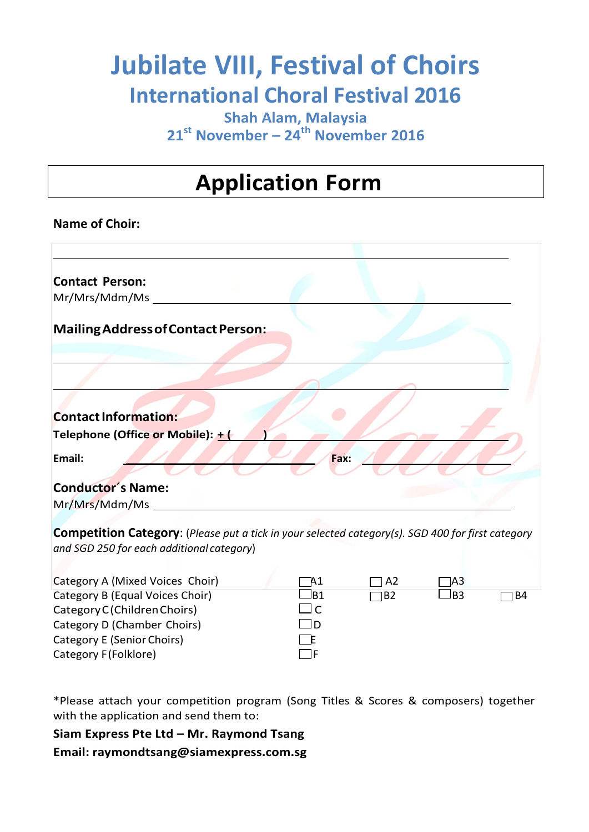# **Jubilate VIII, Festival of Choirs International Choral Festival 2016**

**Shah Alam, Malaysia 21 st November – 24 th November 2016**

### **Application Form**

#### **Name of Choir:**

| <b>Contact Person:</b>             |
|------------------------------------|
| Mr/Mrs/Mdm/Ms                      |
| Mailing Address of Contact Person: |
|                                    |
|                                    |
|                                    |
| <b>Contact Information:</b>        |
| Telephone (Office or Mobile): + (  |
| Email:<br>Fax:                     |
| <b>Conductor's Name:</b>           |
| Mr/Mrs/Mdm/Ms                      |

**Competition Category**: (*Please put a tick in your selected category(s). SGD 400 for first category and SGD 250 for each additional category*)

| Category A (Mixed Voices Choir) | - A1                     | TI A2     | $\sqcap$ A3 |      |
|---------------------------------|--------------------------|-----------|-------------|------|
| Category B (Equal Voices Choir) | ⊿B1                      | $\Box$ B2 | ⊿B3         | 1 B4 |
| Category C (Children Choirs)    | $\overline{\phantom{a}}$ |           |             |      |
| Category D (Chamber Choirs)     | ID                       |           |             |      |
| Category E (Senior Choirs)      | ΈF                       |           |             |      |
| Category F(Folklore)            | - IF                     |           |             |      |

\*Please attach your competition program (Song Titles & Scores & composers) together with the application and send them to:

**Siam Express Pte Ltd – Mr. Raymond Tsang**

**Email: raymondtsang@siamexpress.com.sg**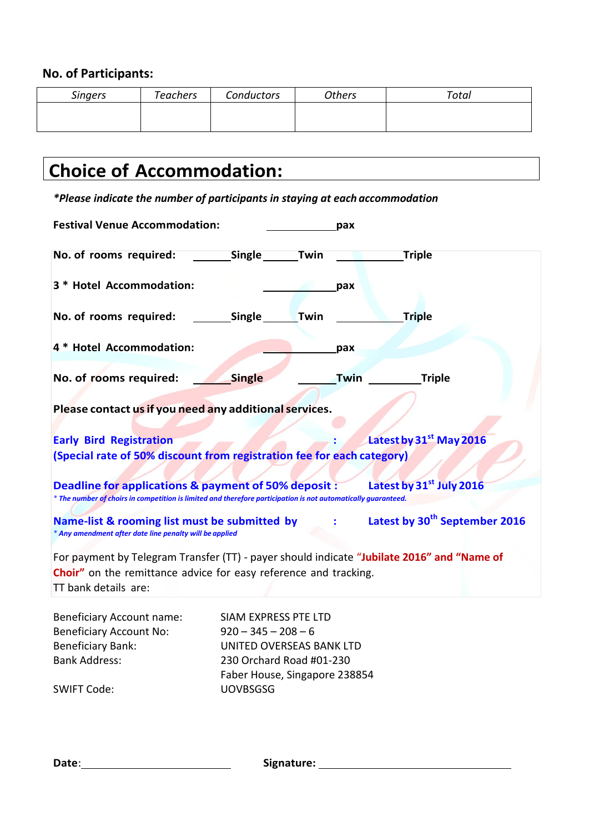### **No. of Participants:**

| <b>Singers</b> | <b>Teachers</b> | Conductors | <b>Others</b> | Total |
|----------------|-----------------|------------|---------------|-------|
|                |                 |            |               |       |
|                |                 |            |               |       |

### **Choice of Accommodation:**

*\*Please indicate the number of participants in staying at each accommodation*

| <b>Festival Venue Accommodation:</b>                                                                                                                  |                               |      | pax         |                                      |  |
|-------------------------------------------------------------------------------------------------------------------------------------------------------|-------------------------------|------|-------------|--------------------------------------|--|
| No. of rooms required:                                                                                                                                | <b>Single</b>                 | Twin |             | <b>Triple</b>                        |  |
| 3 * Hotel Accommodation:                                                                                                                              |                               |      | pax         |                                      |  |
| No. of rooms required:                                                                                                                                | Single                        | Twin |             | <b>Triple</b>                        |  |
| 4 * Hotel Accommodation:                                                                                                                              |                               |      | pax         |                                      |  |
| No. of rooms required:                                                                                                                                | <b>Single</b>                 |      | <b>Twin</b> | <b>Triple</b>                        |  |
| Please contact us if you need any additional services.                                                                                                |                               |      |             |                                      |  |
| <b>Early Bird Registration</b>                                                                                                                        |                               |      |             | Latest by 31st May 2016              |  |
| (Special rate of 50% discount from registration fee for each category)                                                                                |                               |      |             |                                      |  |
|                                                                                                                                                       |                               |      |             |                                      |  |
| Deadline for applications & payment of 50% deposit :                                                                                                  |                               |      |             | Latest by 31 <sup>st</sup> July 2016 |  |
| * The number of choirs in competition is limited and therefore participation is not automatically guaranteed.                                         |                               |      |             |                                      |  |
|                                                                                                                                                       |                               |      |             |                                      |  |
| Latest by 30 <sup>th</sup> September 2016<br>Name-list & rooming list must be submitted by<br>* Any amendment after date line penalty will be applied |                               |      |             |                                      |  |
|                                                                                                                                                       |                               |      |             |                                      |  |
| For payment by Telegram Transfer (TT) - payer should indicate "Jubilate 2016" and "Name of                                                            |                               |      |             |                                      |  |
| Choir" on the remittance advice for easy reference and tracking.                                                                                      |                               |      |             |                                      |  |
| TT bank details are:                                                                                                                                  |                               |      |             |                                      |  |
|                                                                                                                                                       |                               |      |             |                                      |  |
| <b>Beneficiary Account name:</b>                                                                                                                      | SIAM EXPRESS PTE LTD          |      |             |                                      |  |
| <b>Beneficiary Account No:</b>                                                                                                                        | $920 - 345 - 208 - 6$         |      |             |                                      |  |
| <b>Beneficiary Bank:</b>                                                                                                                              | UNITED OVERSEAS BANK LTD      |      |             |                                      |  |
| <b>Bank Address:</b>                                                                                                                                  | 230 Orchard Road #01-230      |      |             |                                      |  |
|                                                                                                                                                       | Faber House, Singapore 238854 |      |             |                                      |  |

SWIFT Code: UOVBSGSG

**Date**: **Signature:**